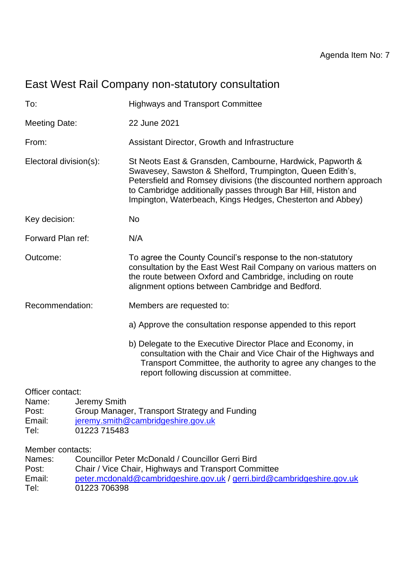# East West Rail Company non-statutory consultation

| To:                                                          | <b>Highways and Transport Committee</b>                                                                                                                                                                                                                                                                                     |
|--------------------------------------------------------------|-----------------------------------------------------------------------------------------------------------------------------------------------------------------------------------------------------------------------------------------------------------------------------------------------------------------------------|
| <b>Meeting Date:</b>                                         | 22 June 2021                                                                                                                                                                                                                                                                                                                |
| From:                                                        | Assistant Director, Growth and Infrastructure                                                                                                                                                                                                                                                                               |
| Electoral division(s):                                       | St Neots East & Gransden, Cambourne, Hardwick, Papworth &<br>Swavesey, Sawston & Shelford, Trumpington, Queen Edith's,<br>Petersfield and Romsey divisions (the discounted northern approach<br>to Cambridge additionally passes through Bar Hill, Histon and<br>Impington, Waterbeach, Kings Hedges, Chesterton and Abbey) |
| Key decision:                                                | <b>No</b>                                                                                                                                                                                                                                                                                                                   |
| Forward Plan ref:                                            | N/A                                                                                                                                                                                                                                                                                                                         |
| Outcome:                                                     | To agree the County Council's response to the non-statutory<br>consultation by the East West Rail Company on various matters on<br>the route between Oxford and Cambridge, including on route<br>alignment options between Cambridge and Bedford.                                                                           |
| Recommendation:                                              | Members are requested to:                                                                                                                                                                                                                                                                                                   |
|                                                              | a) Approve the consultation response appended to this report                                                                                                                                                                                                                                                                |
|                                                              | b) Delegate to the Executive Director Place and Economy, in<br>consultation with the Chair and Vice Chair of the Highways and<br>Transport Committee, the authority to agree any changes to the<br>report following discussion at committee.                                                                                |
| Officer contact:<br>Jeremy Smith<br>Name:<br>Post:<br>Email: | Group Manager, Transport Strategy and Funding<br>jeremy.smith@cambridgeshire.gov.uk                                                                                                                                                                                                                                         |

Tel: 01223 715483

Member contacts:

| Councillor Peter McDonald / Councillor Gerri Bird                       |
|-------------------------------------------------------------------------|
| Chair / Vice Chair, Highways and Transport Committee                    |
| peter.mcdonald@cambridgeshire.gov.uk / gerri.bird@cambridgeshire.gov.uk |
| 01223 706398                                                            |
|                                                                         |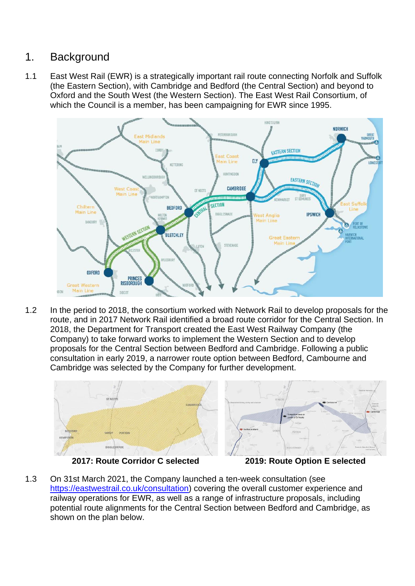## 1. Background

1.1 East West Rail (EWR) is a strategically important rail route connecting Norfolk and Suffolk (the Eastern Section), with Cambridge and Bedford (the Central Section) and beyond to Oxford and the South West (the Western Section). The East West Rail Consortium, of which the Council is a member, has been campaigning for EWR since 1995.



1.2 In the period to 2018, the consortium worked with Network Rail to develop proposals for the route, and in 2017 Network Rail identified a broad route corridor for the Central Section. In 2018, the Department for Transport created the East West Railway Company (the Company) to take forward works to implement the Western Section and to develop proposals for the Central Section between Bedford and Cambridge. Following a public consultation in early 2019, a narrower route option between Bedford, Cambourne and Cambridge was selected by the Company for further development.



**2017: Route Corridor C selected 2019: Route Option E selected**

1.3 On 31st March 2021, the Company launched a ten-week consultation (see [https://eastwestrail.co.uk/consultation\)](https://eastwestrail.co.uk/consultation) covering the overall customer experience and railway operations for EWR, as well as a range of infrastructure proposals, including potential route alignments for the Central Section between Bedford and Cambridge, as shown on the plan below.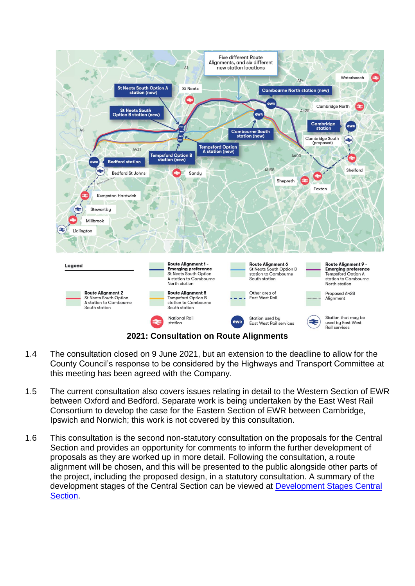

- 1.4 The consultation closed on 9 June 2021, but an extension to the deadline to allow for the County Council's response to be considered by the Highways and Transport Committee at this meeting has been agreed with the Company.
- 1.5 The current consultation also covers issues relating in detail to the Western Section of EWR between Oxford and Bedford. Separate work is being undertaken by the East West Rail Consortium to develop the case for the Eastern Section of EWR between Cambridge, Ipswich and Norwich; this work is not covered by this consultation.
- 1.6 This consultation is the second non-statutory consultation on the proposals for the Central Section and provides an opportunity for comments to inform the further development of proposals as they are worked up in more detail. Following the consultation, a route alignment will be chosen, and this will be presented to the public alongside other parts of the project, including the proposed design, in a statutory consultation. A summary of the development stages of the Central Section can be viewed at [Development Stages Central](https://tinyurl.com/e3rxaens)  [Section.](https://tinyurl.com/e3rxaens)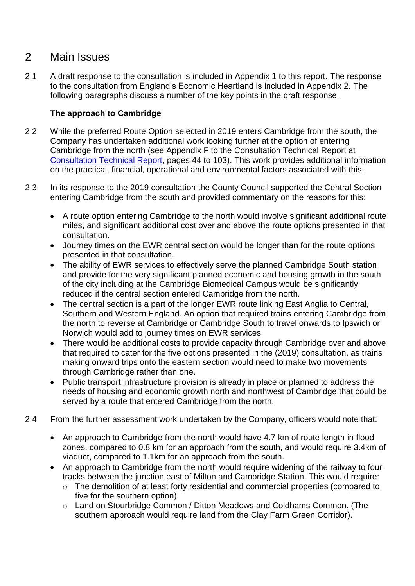## 2 Main Issues

2.1 A draft response to the consultation is included in Appendix 1 to this report. The response to the consultation from England's Economic Heartland is included in Appendix 2. The following paragraphs discuss a number of the key points in the draft response.

## **The approach to Cambridge**

- 2.2 While the preferred Route Option selected in 2019 enters Cambridge from the south, the Company has undertaken additional work looking further at the option of entering Cambridge from the north (see Appendix F to the Consultation Technical Report at [Consultation Technical Report,](https://tinyurl.com/3vyesuh3) pages 44 to 103). This work provides additional information on the practical, financial, operational and environmental factors associated with this.
- 2.3 In its response to the 2019 consultation the County Council supported the Central Section entering Cambridge from the south and provided commentary on the reasons for this:
	- A route option entering Cambridge to the north would involve significant additional route miles, and significant additional cost over and above the route options presented in that consultation.
	- Journey times on the EWR central section would be longer than for the route options presented in that consultation.
	- The ability of EWR services to effectively serve the planned Cambridge South station and provide for the very significant planned economic and housing growth in the south of the city including at the Cambridge Biomedical Campus would be significantly reduced if the central section entered Cambridge from the north.
	- The central section is a part of the longer EWR route linking East Anglia to Central, Southern and Western England. An option that required trains entering Cambridge from the north to reverse at Cambridge or Cambridge South to travel onwards to Ipswich or Norwich would add to journey times on EWR services.
	- There would be additional costs to provide capacity through Cambridge over and above that required to cater for the five options presented in the (2019) consultation, as trains making onward trips onto the eastern section would need to make two movements through Cambridge rather than one.
	- Public transport infrastructure provision is already in place or planned to address the needs of housing and economic growth north and northwest of Cambridge that could be served by a route that entered Cambridge from the north.
- 2.4 From the further assessment work undertaken by the Company, officers would note that:
	- An approach to Cambridge from the north would have 4.7 km of route length in flood zones, compared to 0.8 km for an approach from the south, and would require 3.4km of viaduct, compared to 1.1km for an approach from the south.
	- An approach to Cambridge from the north would require widening of the railway to four tracks between the junction east of Milton and Cambridge Station. This would require:
		- o The demolition of at least forty residential and commercial properties (compared to five for the southern option).
		- o Land on Stourbridge Common / Ditton Meadows and Coldhams Common. (The southern approach would require land from the Clay Farm Green Corridor).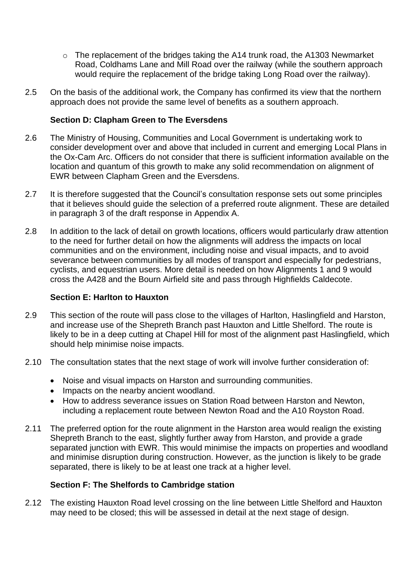- o The replacement of the bridges taking the A14 trunk road, the A1303 Newmarket Road, Coldhams Lane and Mill Road over the railway (while the southern approach would require the replacement of the bridge taking Long Road over the railway).
- 2.5 On the basis of the additional work, the Company has confirmed its view that the northern approach does not provide the same level of benefits as a southern approach.

## **Section D: Clapham Green to The Eversdens**

- 2.6 The Ministry of Housing, Communities and Local Government is undertaking work to consider development over and above that included in current and emerging Local Plans in the Ox-Cam Arc. Officers do not consider that there is sufficient information available on the location and quantum of this growth to make any solid recommendation on alignment of EWR between Clapham Green and the Eversdens.
- 2.7 It is therefore suggested that the Council's consultation response sets out some principles that it believes should guide the selection of a preferred route alignment. These are detailed in paragraph 3 of the draft response in Appendix A.
- 2.8 In addition to the lack of detail on growth locations, officers would particularly draw attention to the need for further detail on how the alignments will address the impacts on local communities and on the environment, including noise and visual impacts, and to avoid severance between communities by all modes of transport and especially for pedestrians, cyclists, and equestrian users. More detail is needed on how Alignments 1 and 9 would cross the A428 and the Bourn Airfield site and pass through Highfields Caldecote.

## **Section E: Harlton to Hauxton**

- 2.9 This section of the route will pass close to the villages of Harlton, Haslingfield and Harston, and increase use of the Shepreth Branch past Hauxton and Little Shelford. The route is likely to be in a deep cutting at Chapel Hill for most of the alignment past Haslingfield, which should help minimise noise impacts.
- 2.10 The consultation states that the next stage of work will involve further consideration of:
	- Noise and visual impacts on Harston and surrounding communities.
	- Impacts on the nearby ancient woodland.
	- How to address severance issues on Station Road between Harston and Newton, including a replacement route between Newton Road and the A10 Royston Road.
- 2.11 The preferred option for the route alignment in the Harston area would realign the existing Shepreth Branch to the east, slightly further away from Harston, and provide a grade separated junction with EWR. This would minimise the impacts on properties and woodland and minimise disruption during construction. However, as the junction is likely to be grade separated, there is likely to be at least one track at a higher level.

## **Section F: The Shelfords to Cambridge station**

2.12 The existing Hauxton Road level crossing on the line between Little Shelford and Hauxton may need to be closed; this will be assessed in detail at the next stage of design.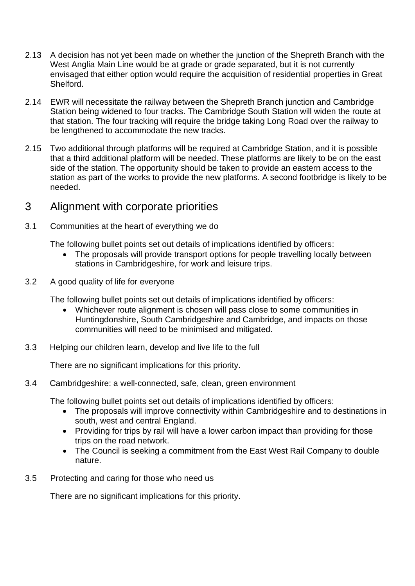- 2.13 A decision has not yet been made on whether the junction of the Shepreth Branch with the West Anglia Main Line would be at grade or grade separated, but it is not currently envisaged that either option would require the acquisition of residential properties in Great Shelford.
- 2.14 EWR will necessitate the railway between the Shepreth Branch junction and Cambridge Station being widened to four tracks. The Cambridge South Station will widen the route at that station. The four tracking will require the bridge taking Long Road over the railway to be lengthened to accommodate the new tracks.
- 2.15 Two additional through platforms will be required at Cambridge Station, and it is possible that a third additional platform will be needed. These platforms are likely to be on the east side of the station. The opportunity should be taken to provide an eastern access to the station as part of the works to provide the new platforms. A second footbridge is likely to be needed.

## 3 Alignment with corporate priorities

3.1 Communities at the heart of everything we do

The following bullet points set out details of implications identified by officers:

- The proposals will provide transport options for people travelling locally between stations in Cambridgeshire, for work and leisure trips.
- 3.2 A good quality of life for everyone

The following bullet points set out details of implications identified by officers:

- Whichever route alignment is chosen will pass close to some communities in Huntingdonshire, South Cambridgeshire and Cambridge, and impacts on those communities will need to be minimised and mitigated.
- 3.3 Helping our children learn, develop and live life to the full

There are no significant implications for this priority.

## 3.4 Cambridgeshire: a well-connected, safe, clean, green environment

The following bullet points set out details of implications identified by officers:

- The proposals will improve connectivity within Cambridgeshire and to destinations in south, west and central England.
- Providing for trips by rail will have a lower carbon impact than providing for those trips on the road network.
- The Council is seeking a commitment from the East West Rail Company to double nature.
- 3.5 Protecting and caring for those who need us

There are no significant implications for this priority.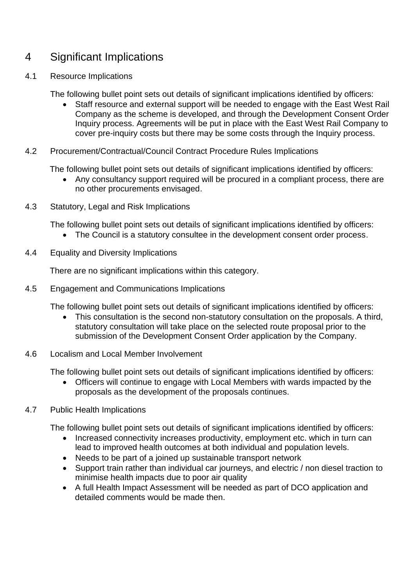## 4 Significant Implications

## 4.1 Resource Implications

The following bullet point sets out details of significant implications identified by officers:

- Staff resource and external support will be needed to engage with the East West Rail Company as the scheme is developed, and through the Development Consent Order Inquiry process. Agreements will be put in place with the East West Rail Company to cover pre-inquiry costs but there may be some costs through the Inquiry process.
- 4.2 Procurement/Contractual/Council Contract Procedure Rules Implications

The following bullet point sets out details of significant implications identified by officers:

- Any consultancy support required will be procured in a compliant process, there are no other procurements envisaged.
- 4.3 Statutory, Legal and Risk Implications

The following bullet point sets out details of significant implications identified by officers:

- The Council is a statutory consultee in the development consent order process.
- 4.4 Equality and Diversity Implications

There are no significant implications within this category.

4.5 Engagement and Communications Implications

The following bullet point sets out details of significant implications identified by officers:

• This consultation is the second non-statutory consultation on the proposals. A third, statutory consultation will take place on the selected route proposal prior to the submission of the Development Consent Order application by the Company.

## 4.6 Localism and Local Member Involvement

The following bullet point sets out details of significant implications identified by officers:

- Officers will continue to engage with Local Members with wards impacted by the proposals as the development of the proposals continues.
- 4.7 Public Health Implications

The following bullet point sets out details of significant implications identified by officers:

- Increased connectivity increases productivity, employment etc. which in turn can lead to improved health outcomes at both individual and population levels.
- Needs to be part of a joined up sustainable transport network
- Support train rather than individual car journeys, and electric / non diesel traction to minimise health impacts due to poor air quality
- A full Health Impact Assessment will be needed as part of DCO application and detailed comments would be made then.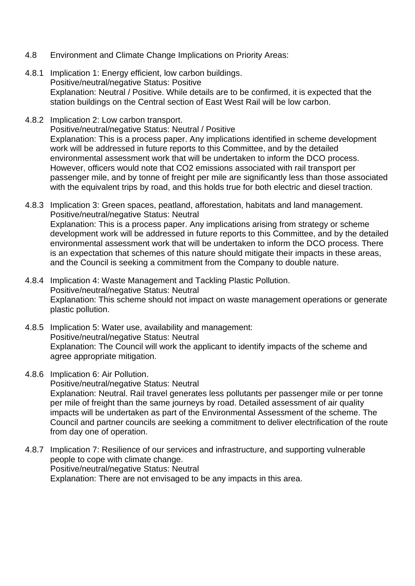- 4.8 Environment and Climate Change Implications on Priority Areas:
- 4.8.1 Implication 1: Energy efficient, low carbon buildings. Positive/neutral/negative Status: Positive Explanation: Neutral / Positive. While details are to be confirmed, it is expected that the station buildings on the Central section of East West Rail will be low carbon.
- 4.8.2 Implication 2: Low carbon transport. Positive/neutral/negative Status: Neutral / Positive Explanation: This is a process paper. Any implications identified in scheme development work will be addressed in future reports to this Committee, and by the detailed environmental assessment work that will be undertaken to inform the DCO process. However, officers would note that CO2 emissions associated with rail transport per passenger mile, and by tonne of freight per mile are significantly less than those associated with the equivalent trips by road, and this holds true for both electric and diesel traction.
- 4.8.3 Implication 3: Green spaces, peatland, afforestation, habitats and land management. Positive/neutral/negative Status: Neutral Explanation: This is a process paper. Any implications arising from strategy or scheme development work will be addressed in future reports to this Committee, and by the detailed environmental assessment work that will be undertaken to inform the DCO process. There is an expectation that schemes of this nature should mitigate their impacts in these areas, and the Council is seeking a commitment from the Company to double nature.
- 4.8.4 Implication 4: Waste Management and Tackling Plastic Pollution. Positive/neutral/negative Status: Neutral Explanation: This scheme should not impact on waste management operations or generate plastic pollution.
- 4.8.5 Implication 5: Water use, availability and management: Positive/neutral/negative Status: Neutral Explanation: The Council will work the applicant to identify impacts of the scheme and agree appropriate mitigation.
- 4.8.6 Implication 6: Air Pollution.

Positive/neutral/negative Status: Neutral Explanation: Neutral. Rail travel generates less pollutants per passenger mile or per tonne per mile of freight than the same journeys by road. Detailed assessment of air quality impacts will be undertaken as part of the Environmental Assessment of the scheme. The Council and partner councils are seeking a commitment to deliver electrification of the route from day one of operation.

4.8.7 Implication 7: Resilience of our services and infrastructure, and supporting vulnerable people to cope with climate change. Positive/neutral/negative Status: Neutral Explanation: There are not envisaged to be any impacts in this area.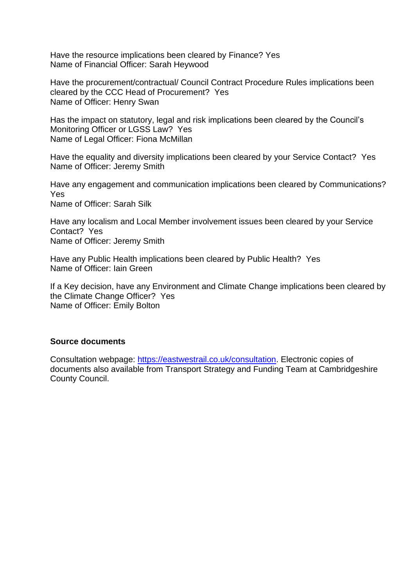Have the resource implications been cleared by Finance? Yes Name of Financial Officer: Sarah Heywood

Have the procurement/contractual/ Council Contract Procedure Rules implications been cleared by the CCC Head of Procurement? Yes Name of Officer: Henry Swan

Has the impact on statutory, legal and risk implications been cleared by the Council's Monitoring Officer or LGSS Law? Yes Name of Legal Officer: Fiona McMillan

Have the equality and diversity implications been cleared by your Service Contact? Yes Name of Officer: Jeremy Smith

Have any engagement and communication implications been cleared by Communications? Yes Name of Officer: Sarah Silk

Have any localism and Local Member involvement issues been cleared by your Service Contact? Yes Name of Officer: Jeremy Smith

Have any Public Health implications been cleared by Public Health? Yes Name of Officer: Iain Green

If a Key decision, have any Environment and Climate Change implications been cleared by the Climate Change Officer? Yes Name of Officer: Emily Bolton

## **Source documents**

Consultation webpage: [https://eastwestrail.co.uk/consultation.](https://eastwestrail.co.uk/consultation) Electronic copies of documents also available from Transport Strategy and Funding Team at Cambridgeshire County Council.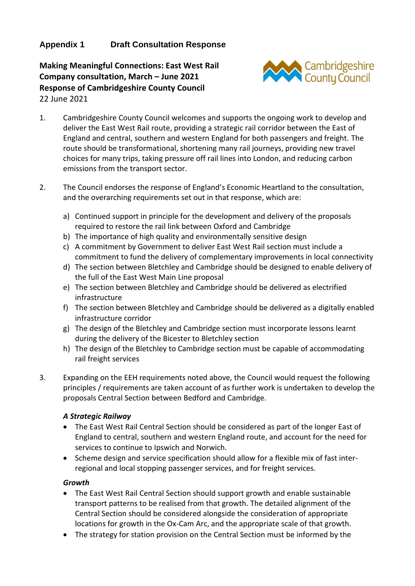## **Appendix 1 Draft Consultation Response**

**Making Meaningful Connections: East West Rail Company consultation, March – June 2021 Response of Cambridgeshire County Council** 22 June 2021



- 1. Cambridgeshire County Council welcomes and supports the ongoing work to develop and deliver the East West Rail route, providing a strategic rail corridor between the East of England and central, southern and western England for both passengers and freight. The route should be transformational, shortening many rail journeys, providing new travel choices for many trips, taking pressure off rail lines into London, and reducing carbon emissions from the transport sector.
- 2. The Council endorses the response of England's Economic Heartland to the consultation, and the overarching requirements set out in that response, which are:
	- a) Continued support in principle for the development and delivery of the proposals required to restore the rail link between Oxford and Cambridge
	- b) The importance of high quality and environmentally sensitive design
	- c) A commitment by Government to deliver East West Rail section must include a commitment to fund the delivery of complementary improvements in local connectivity
	- d) The section between Bletchley and Cambridge should be designed to enable delivery of the full of the East West Main Line proposal
	- e) The section between Bletchley and Cambridge should be delivered as electrified infrastructure
	- f) The section between Bletchley and Cambridge should be delivered as a digitally enabled infrastructure corridor
	- g) The design of the Bletchley and Cambridge section must incorporate lessons learnt during the delivery of the Bicester to Bletchley section
	- h) The design of the Bletchley to Cambridge section must be capable of accommodating rail freight services
- 3. Expanding on the EEH requirements noted above, the Council would request the following principles / requirements are taken account of as further work is undertaken to develop the proposals Central Section between Bedford and Cambridge.

## *A Strategic Railway*

- The East West Rail Central Section should be considered as part of the longer East of England to central, southern and western England route, and account for the need for services to continue to Ipswich and Norwich.
- Scheme design and service specification should allow for a flexible mix of fast interregional and local stopping passenger services, and for freight services.

#### *Growth*

- The East West Rail Central Section should support growth and enable sustainable transport patterns to be realised from that growth. The detailed alignment of the Central Section should be considered alongside the consideration of appropriate locations for growth in the Ox-Cam Arc, and the appropriate scale of that growth.
- The strategy for station provision on the Central Section must be informed by the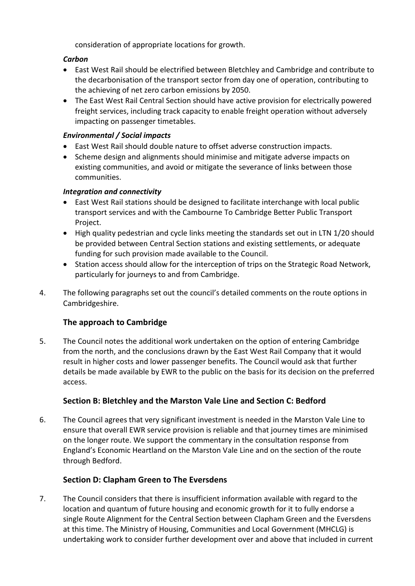consideration of appropriate locations for growth.

## *Carbon*

- East West Rail should be electrified between Bletchley and Cambridge and contribute to the decarbonisation of the transport sector from day one of operation, contributing to the achieving of net zero carbon emissions by 2050.
- The East West Rail Central Section should have active provision for electrically powered freight services, including track capacity to enable freight operation without adversely impacting on passenger timetables.

#### *Environmental / Social impacts*

- East West Rail should double nature to offset adverse construction impacts.
- Scheme design and alignments should minimise and mitigate adverse impacts on existing communities, and avoid or mitigate the severance of links between those communities.

## *Integration and connectivity*

- East West Rail stations should be designed to facilitate interchange with local public transport services and with the Cambourne To Cambridge Better Public Transport Project.
- High quality pedestrian and cycle links meeting the standards set out in LTN 1/20 should be provided between Central Section stations and existing settlements, or adequate funding for such provision made available to the Council.
- Station access should allow for the interception of trips on the Strategic Road Network, particularly for journeys to and from Cambridge.
- 4. The following paragraphs set out the council's detailed comments on the route options in Cambridgeshire.

## **The approach to Cambridge**

5. The Council notes the additional work undertaken on the option of entering Cambridge from the north, and the conclusions drawn by the East West Rail Company that it would result in higher costs and lower passenger benefits. The Council would ask that further details be made available by EWR to the public on the basis for its decision on the preferred access.

## **Section B: Bletchley and the Marston Vale Line and Section C: Bedford**

6. The Council agrees that very significant investment is needed in the Marston Vale Line to ensure that overall EWR service provision is reliable and that journey times are minimised on the longer route. We support the commentary in the consultation response from England's Economic Heartland on the Marston Vale Line and on the section of the route through Bedford.

## **Section D: Clapham Green to The Eversdens**

7. The Council considers that there is insufficient information available with regard to the location and quantum of future housing and economic growth for it to fully endorse a single Route Alignment for the Central Section between Clapham Green and the Eversdens at this time. The Ministry of Housing, Communities and Local Government (MHCLG) is undertaking work to consider further development over and above that included in current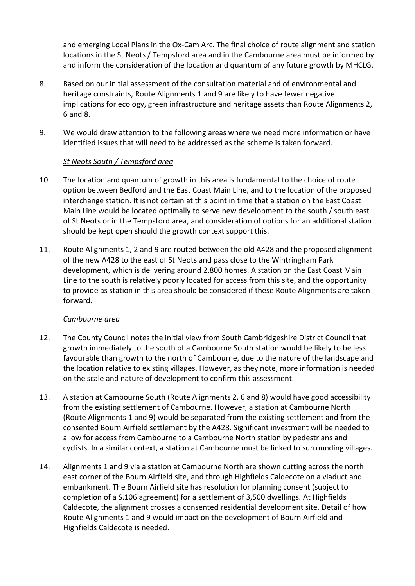and emerging Local Plans in the Ox-Cam Arc. The final choice of route alignment and station locations in the St Neots / Tempsford area and in the Cambourne area must be informed by and inform the consideration of the location and quantum of any future growth by MHCLG.

- 8. Based on our initial assessment of the consultation material and of environmental and heritage constraints, Route Alignments 1 and 9 are likely to have fewer negative implications for ecology, green infrastructure and heritage assets than Route Alignments 2, 6 and 8.
- 9. We would draw attention to the following areas where we need more information or have identified issues that will need to be addressed as the scheme is taken forward.

## *St Neots South / Tempsford area*

- 10. The location and quantum of growth in this area is fundamental to the choice of route option between Bedford and the East Coast Main Line, and to the location of the proposed interchange station. It is not certain at this point in time that a station on the East Coast Main Line would be located optimally to serve new development to the south / south east of St Neots or in the Tempsford area, and consideration of options for an additional station should be kept open should the growth context support this.
- 11. Route Alignments 1, 2 and 9 are routed between the old A428 and the proposed alignment of the new A428 to the east of St Neots and pass close to the Wintringham Park development, which is delivering around 2,800 homes. A station on the East Coast Main Line to the south is relatively poorly located for access from this site, and the opportunity to provide as station in this area should be considered if these Route Alignments are taken forward.

## *Cambourne area*

- 12. The County Council notes the initial view from South Cambridgeshire District Council that growth immediately to the south of a Cambourne South station would be likely to be less favourable than growth to the north of Cambourne, due to the nature of the landscape and the location relative to existing villages. However, as they note, more information is needed on the scale and nature of development to confirm this assessment.
- 13. A station at Cambourne South (Route Alignments 2, 6 and 8) would have good accessibility from the existing settlement of Cambourne. However, a station at Cambourne North (Route Alignments 1 and 9) would be separated from the existing settlement and from the consented Bourn Airfield settlement by the A428. Significant investment will be needed to allow for access from Cambourne to a Cambourne North station by pedestrians and cyclists. In a similar context, a station at Cambourne must be linked to surrounding villages.
- 14. Alignments 1 and 9 via a station at Cambourne North are shown cutting across the north east corner of the Bourn Airfield site, and through Highfields Caldecote on a viaduct and embankment. The Bourn Airfield site has resolution for planning consent (subject to completion of a S.106 agreement) for a settlement of 3,500 dwellings. At Highfields Caldecote, the alignment crosses a consented residential development site. Detail of how Route Alignments 1 and 9 would impact on the development of Bourn Airfield and Highfields Caldecote is needed.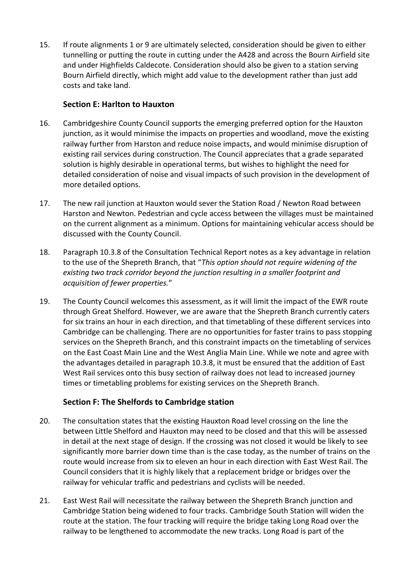15. If route alignments 1 or 9 are ultimately selected, consideration should be given to either tunnelling or putting the route in cutting under the A428 and across the Bourn Airfield site and under Highfields Caldecote. Consideration should also be given to a station serving Bourn Airfield directly, which might add value to the development rather than just add costs and take land.

## **Section E: Harlton to Hauxton**

- 16. Cambridgeshire County Council supports the emerging preferred option for the Hauxton junction, as it would minimise the impacts on properties and woodland, move the existing railway further from Harston and reduce noise impacts, and would minimise disruption of existing rail services during construction. The Council appreciates that a grade separated solution is highly desirable in operational terms, but wishes to highlight the need for detailed consideration of noise and visual impacts of such provision in the development of more detailed options.
- 17. The new rail junction at Hauxton would sever the Station Road / Newton Road between Harston and Newton. Pedestrian and cycle access between the villages must be maintained on the current alignment as a minimum. Options for maintaining vehicular access should be discussed with the County Council.
- 18. Paragraph 10.3.8 of the Consultation Technical Report notes as a key advantage in relation to the use of the Shepreth Branch, that "*This option should not require widening of the existing two track corridor beyond the junction resulting in a smaller footprint and acquisition of fewer properties.*"
- 19. The County Council welcomes this assessment, as it will limit the impact of the EWR route through Great Shelford. However, we are aware that the Shepreth Branch currently caters for six trains an hour in each direction, and that timetabling of these different services into Cambridge can be challenging. There are no opportunities for faster trains to pass stopping services on the Shepreth Branch, and this constraint impacts on the timetabling of services on the East Coast Main Line and the West Anglia Main Line. While we note and agree with the advantages detailed in paragraph 10.3.8, it must be ensured that the addition of East West Rail services onto this busy section of railway does not lead to increased journey times or timetabling problems for existing services on the Shepreth Branch.

## **Section F: The Shelfords to Cambridge station**

- 20. The consultation states that the existing Hauxton Road level crossing on the line the between Little Shelford and Hauxton may need to be closed and that this will be assessed in detail at the next stage of design. If the crossing was not closed it would be likely to see significantly more barrier down time than is the case today, as the number of trains on the route would increase from six to eleven an hour in each direction with East West Rail. The Council considers that it is highly likely that a replacement bridge or bridges over the railway for vehicular traffic and pedestrians and cyclists will be needed.
- 21. East West Rail will necessitate the railway between the Shepreth Branch junction and Cambridge Station being widened to four tracks. Cambridge South Station will widen the route at the station. The four tracking will require the bridge taking Long Road over the railway to be lengthened to accommodate the new tracks. Long Road is part of the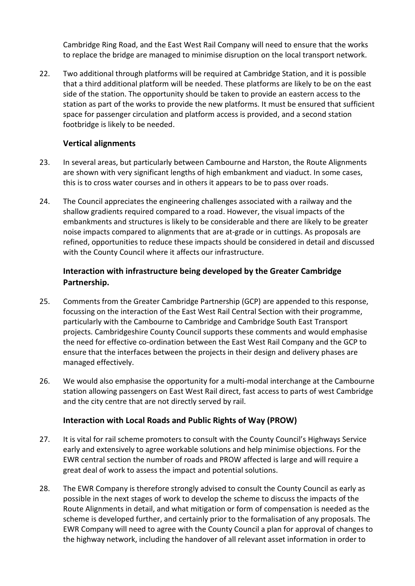Cambridge Ring Road, and the East West Rail Company will need to ensure that the works to replace the bridge are managed to minimise disruption on the local transport network.

22. Two additional through platforms will be required at Cambridge Station, and it is possible that a third additional platform will be needed. These platforms are likely to be on the east side of the station. The opportunity should be taken to provide an eastern access to the station as part of the works to provide the new platforms. It must be ensured that sufficient space for passenger circulation and platform access is provided, and a second station footbridge is likely to be needed.

## **Vertical alignments**

- 23. In several areas, but particularly between Cambourne and Harston, the Route Alignments are shown with very significant lengths of high embankment and viaduct. In some cases, this is to cross water courses and in others it appears to be to pass over roads.
- 24. The Council appreciates the engineering challenges associated with a railway and the shallow gradients required compared to a road. However, the visual impacts of the embankments and structures is likely to be considerable and there are likely to be greater noise impacts compared to alignments that are at-grade or in cuttings. As proposals are refined, opportunities to reduce these impacts should be considered in detail and discussed with the County Council where it affects our infrastructure.

## **Interaction with infrastructure being developed by the Greater Cambridge Partnership.**

- 25. Comments from the Greater Cambridge Partnership (GCP) are appended to this response, focussing on the interaction of the East West Rail Central Section with their programme, particularly with the Cambourne to Cambridge and Cambridge South East Transport projects. Cambridgeshire County Council supports these comments and would emphasise the need for effective co-ordination between the East West Rail Company and the GCP to ensure that the interfaces between the projects in their design and delivery phases are managed effectively.
- 26. We would also emphasise the opportunity for a multi-modal interchange at the Cambourne station allowing passengers on East West Rail direct, fast access to parts of west Cambridge and the city centre that are not directly served by rail.

## **Interaction with Local Roads and Public Rights of Way (PROW)**

- 27. It is vital for rail scheme promoters to consult with the County Council's Highways Service early and extensively to agree workable solutions and help minimise objections. For the EWR central section the number of roads and PROW affected is large and will require a great deal of work to assess the impact and potential solutions.
- 28. The EWR Company is therefore strongly advised to consult the County Council as early as possible in the next stages of work to develop the scheme to discuss the impacts of the Route Alignments in detail, and what mitigation or form of compensation is needed as the scheme is developed further, and certainly prior to the formalisation of any proposals. The EWR Company will need to agree with the County Council a plan for approval of changes to the highway network, including the handover of all relevant asset information in order to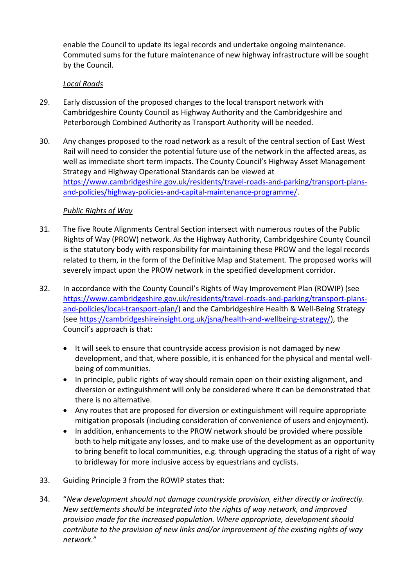enable the Council to update its legal records and undertake ongoing maintenance. Commuted sums for the future maintenance of new highway infrastructure will be sought by the Council.

## *Local Roads*

- 29. Early discussion of the proposed changes to the local transport network with Cambridgeshire County Council as Highway Authority and the Cambridgeshire and Peterborough Combined Authority as Transport Authority will be needed.
- 30. Any changes proposed to the road network as a result of the central section of East West Rail will need to consider the potential future use of the network in the affected areas, as well as immediate short term impacts. The County Council's Highway Asset Management Strategy and Highway Operational Standards can be viewed at [https://www.cambridgeshire.gov.uk/residents/travel-roads-and-parking/transport-plans](https://www.cambridgeshire.gov.uk/residents/travel-roads-and-parking/transport-plans-and-policies/highway-policies-and-capital-maintenance-programme/)[and-policies/highway-policies-and-capital-maintenance-programme/.](https://www.cambridgeshire.gov.uk/residents/travel-roads-and-parking/transport-plans-and-policies/highway-policies-and-capital-maintenance-programme/)

## *Public Rights of Way*

- 31. The five Route Alignments Central Section intersect with numerous routes of the Public Rights of Way (PROW) network. As the Highway Authority, Cambridgeshire County Council is the statutory body with responsibility for maintaining these PROW and the legal records related to them, in the form of the Definitive Map and Statement. The proposed works will severely impact upon the PROW network in the specified development corridor.
- 32. In accordance with the County Council's Rights of Way Improvement Plan (ROWIP) (see [https://www.cambridgeshire.gov.uk/residents/travel-roads-and-parking/transport-plans](https://www.cambridgeshire.gov.uk/residents/travel-roads-and-parking/transport-plans-and-policies/local-transport-plan/)[and-policies/local-transport-plan/\)](https://www.cambridgeshire.gov.uk/residents/travel-roads-and-parking/transport-plans-and-policies/local-transport-plan/) and the Cambridgeshire Health & Well-Being Strategy (see [https://cambridgeshireinsight.org.uk/jsna/health-and-wellbeing-strategy/\)](https://cambridgeshireinsight.org.uk/jsna/health-and-wellbeing-strategy/), the Council's approach is that:
	- It will seek to ensure that countryside access provision is not damaged by new development, and that, where possible, it is enhanced for the physical and mental wellbeing of communities.
	- In principle, public rights of way should remain open on their existing alignment, and diversion or extinguishment will only be considered where it can be demonstrated that there is no alternative.
	- Any routes that are proposed for diversion or extinguishment will require appropriate mitigation proposals (including consideration of convenience of users and enjoyment).
	- In addition, enhancements to the PROW network should be provided where possible both to help mitigate any losses, and to make use of the development as an opportunity to bring benefit to local communities, e.g. through upgrading the status of a right of way to bridleway for more inclusive access by equestrians and cyclists.
- 33. Guiding Principle 3 from the ROWIP states that:
- 34. "*New development should not damage countryside provision, either directly or indirectly. New settlements should be integrated into the rights of way network, and improved provision made for the increased population. Where appropriate, development should contribute to the provision of new links and/or improvement of the existing rights of way network.*"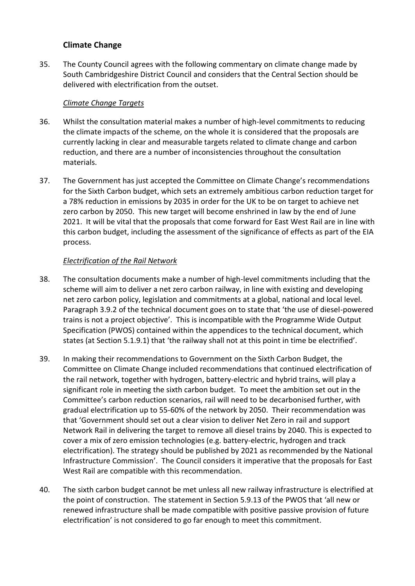## **Climate Change**

35. The County Council agrees with the following commentary on climate change made by South Cambridgeshire District Council and considers that the Central Section should be delivered with electrification from the outset.

#### *Climate Change Targets*

- 36. Whilst the consultation material makes a number of high-level commitments to reducing the climate impacts of the scheme, on the whole it is considered that the proposals are currently lacking in clear and measurable targets related to climate change and carbon reduction, and there are a number of inconsistencies throughout the consultation materials.
- 37. The Government has just accepted the Committee on Climate Change's recommendations for the Sixth Carbon budget, which sets an extremely ambitious carbon reduction target for a 78% reduction in emissions by 2035 in order for the UK to be on target to achieve net zero carbon by 2050. This new target will become enshrined in law by the end of June 2021. It will be vital that the proposals that come forward for East West Rail are in line with this carbon budget, including the assessment of the significance of effects as part of the EIA process.

## *Electrification of the Rail Network*

- 38. The consultation documents make a number of high-level commitments including that the scheme will aim to deliver a net zero carbon railway, in line with existing and developing net zero carbon policy, legislation and commitments at a global, national and local level. Paragraph 3.9.2 of the technical document goes on to state that 'the use of diesel-powered trains is not a project objective'. This is incompatible with the Programme Wide Output Specification (PWOS) contained within the appendices to the technical document, which states (at Section 5.1.9.1) that 'the railway shall not at this point in time be electrified'.
- 39. In making their recommendations to Government on the Sixth Carbon Budget, the Committee on Climate Change included recommendations that continued electrification of the rail network, together with hydrogen, battery-electric and hybrid trains, will play a significant role in meeting the sixth carbon budget. To meet the ambition set out in the Committee's carbon reduction scenarios, rail will need to be decarbonised further, with gradual electrification up to 55-60% of the network by 2050. Their recommendation was that 'Government should set out a clear vision to deliver Net Zero in rail and support Network Rail in delivering the target to remove all diesel trains by 2040. This is expected to cover a mix of zero emission technologies (e.g. battery-electric, hydrogen and track electrification). The strategy should be published by 2021 as recommended by the National Infrastructure Commission'. The Council considers it imperative that the proposals for East West Rail are compatible with this recommendation.
- 40. The sixth carbon budget cannot be met unless all new railway infrastructure is electrified at the point of construction. The statement in Section 5.9.13 of the PWOS that 'all new or renewed infrastructure shall be made compatible with positive passive provision of future electrification' is not considered to go far enough to meet this commitment.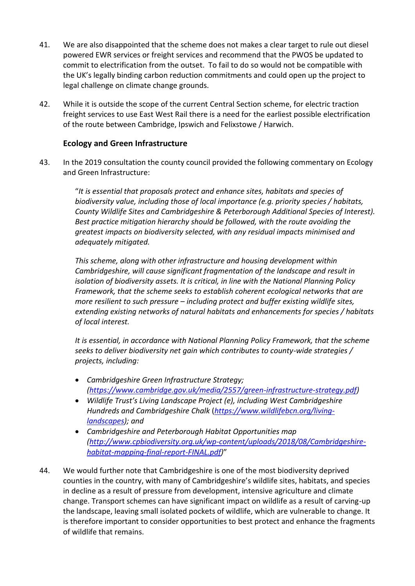- 41. We are also disappointed that the scheme does not makes a clear target to rule out diesel powered EWR services or freight services and recommend that the PWOS be updated to commit to electrification from the outset. To fail to do so would not be compatible with the UK's legally binding carbon reduction commitments and could open up the project to legal challenge on climate change grounds.
- 42. While it is outside the scope of the current Central Section scheme, for electric traction freight services to use East West Rail there is a need for the earliest possible electrification of the route between Cambridge, Ipswich and Felixstowe / Harwich.

## **Ecology and Green Infrastructure**

43. In the 2019 consultation the county council provided the following commentary on Ecology and Green Infrastructure:

> "*It is essential that proposals protect and enhance sites, habitats and species of biodiversity value, including those of local importance (e.g. priority species / habitats, County Wildlife Sites and Cambridgeshire & Peterborough Additional Species of Interest). Best practice mitigation hierarchy should be followed, with the route avoiding the greatest impacts on biodiversity selected, with any residual impacts minimised and adequately mitigated.*

> *This scheme, along with other infrastructure and housing development within Cambridgeshire, will cause significant fragmentation of the landscape and result in isolation of biodiversity assets. It is critical, in line with the National Planning Policy Framework, that the scheme seeks to establish coherent ecological networks that are more resilient to such pressure – including protect and buffer existing wildlife sites, extending existing networks of natural habitats and enhancements for species / habitats of local interest.*

*It is essential, in accordance with National Planning Policy Framework, that the scheme seeks to deliver biodiversity net gain which contributes to county-wide strategies / projects, including:*

- *Cambridgeshire Green Infrastructure Strategy; [\(https://www.cambridge.gov.uk/media/2557/green-infrastructure-strategy.pdf\)](https://www.cambridge.gov.uk/media/2557/green-infrastructure-strategy.pdf)*
- *Wildlife Trust's Living Landscape Project (e), including West Cambridgeshire Hundreds and Cambridgeshire Chalk* (*[https://www.wildlifebcn.org/living](https://www.wildlifebcn.org/living-landscapes)[landscapes\)](https://www.wildlifebcn.org/living-landscapes); and*
- *Cambridgeshire and Peterborough Habitat Opportunities map [\(http://www.cpbiodiversity.org.uk/wp-content/uploads/2018/08/Cambridgeshire](http://www.cpbiodiversity.org.uk/wp-content/uploads/2018/08/Cambridgeshire-habitat-mapping-final-report-FINAL.pdf)[habitat-mapping-final-report-FINAL.pdf\)](http://www.cpbiodiversity.org.uk/wp-content/uploads/2018/08/Cambridgeshire-habitat-mapping-final-report-FINAL.pdf)*"
- 44. We would further note that Cambridgeshire is one of the most biodiversity deprived counties in the country, with many of Cambridgeshire's wildlife sites, habitats, and species in decline as a result of pressure from development, intensive agriculture and climate change. Transport schemes can have significant impact on wildlife as a result of carving-up the landscape, leaving small isolated pockets of wildlife, which are vulnerable to change. It is therefore important to consider opportunities to best protect and enhance the fragments of wildlife that remains.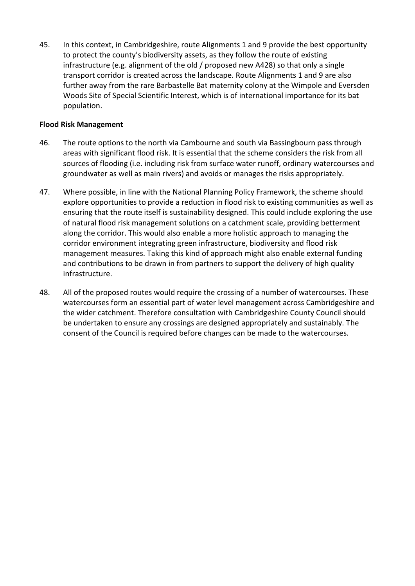45. In this context, in Cambridgeshire, route Alignments 1 and 9 provide the best opportunity to protect the county's biodiversity assets, as they follow the route of existing infrastructure (e.g. alignment of the old / proposed new A428) so that only a single transport corridor is created across the landscape. Route Alignments 1 and 9 are also further away from the rare Barbastelle Bat maternity colony at the Wimpole and Eversden Woods Site of Special Scientific Interest, which is of international importance for its bat population.

#### **Flood Risk Management**

- 46. The route options to the north via Cambourne and south via Bassingbourn pass through areas with significant flood risk. It is essential that the scheme considers the risk from all sources of flooding (i.e. including risk from surface water runoff, ordinary watercourses and groundwater as well as main rivers) and avoids or manages the risks appropriately.
- 47. Where possible, in line with the National Planning Policy Framework, the scheme should explore opportunities to provide a reduction in flood risk to existing communities as well as ensuring that the route itself is sustainability designed. This could include exploring the use of natural flood risk management solutions on a catchment scale, providing betterment along the corridor. This would also enable a more holistic approach to managing the corridor environment integrating green infrastructure, biodiversity and flood risk management measures. Taking this kind of approach might also enable external funding and contributions to be drawn in from partners to support the delivery of high quality infrastructure.
- 48. All of the proposed routes would require the crossing of a number of watercourses. These watercourses form an essential part of water level management across Cambridgeshire and the wider catchment. Therefore consultation with Cambridgeshire County Council should be undertaken to ensure any crossings are designed appropriately and sustainably. The consent of the Council is required before changes can be made to the watercourses.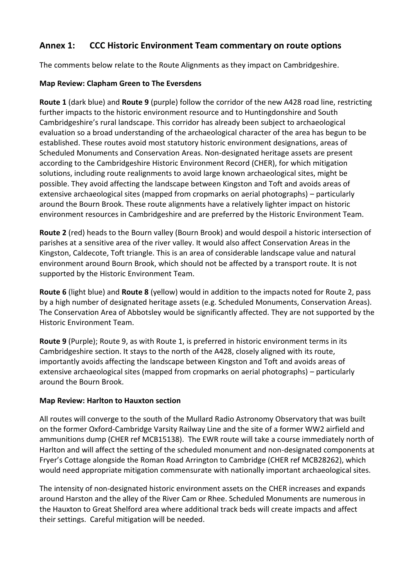## **Annex 1: CCC Historic Environment Team commentary on route options**

The comments below relate to the Route Alignments as they impact on Cambridgeshire.

## **Map Review: Clapham Green to The Eversdens**

**Route 1** (dark blue) and **Route 9** (purple) follow the corridor of the new A428 road line, restricting further impacts to the historic environment resource and to Huntingdonshire and South Cambridgeshire's rural landscape. This corridor has already been subject to archaeological evaluation so a broad understanding of the archaeological character of the area has begun to be established. These routes avoid most statutory historic environment designations, areas of Scheduled Monuments and Conservation Areas. Non-designated heritage assets are present according to the Cambridgeshire Historic Environment Record (CHER), for which mitigation solutions, including route realignments to avoid large known archaeological sites, might be possible. They avoid affecting the landscape between Kingston and Toft and avoids areas of extensive archaeological sites (mapped from cropmarks on aerial photographs) – particularly around the Bourn Brook. These route alignments have a relatively lighter impact on historic environment resources in Cambridgeshire and are preferred by the Historic Environment Team.

**Route 2** (red) heads to the Bourn valley (Bourn Brook) and would despoil a historic intersection of parishes at a sensitive area of the river valley. It would also affect Conservation Areas in the Kingston, Caldecote, Toft triangle. This is an area of considerable landscape value and natural environment around Bourn Brook, which should not be affected by a transport route. It is not supported by the Historic Environment Team.

**Route 6** (light blue) and **Route 8** (yellow) would in addition to the impacts noted for Route 2, pass by a high number of designated heritage assets (e.g. Scheduled Monuments, Conservation Areas). The Conservation Area of Abbotsley would be significantly affected. They are not supported by the Historic Environment Team.

**Route 9** (Purple); Route 9, as with Route 1, is preferred in historic environment terms in its Cambridgeshire section. It stays to the north of the A428, closely aligned with its route, importantly avoids affecting the landscape between Kingston and Toft and avoids areas of extensive archaeological sites (mapped from cropmarks on aerial photographs) – particularly around the Bourn Brook.

## **Map Review: Harlton to Hauxton section**

All routes will converge to the south of the Mullard Radio Astronomy Observatory that was built on the former Oxford-Cambridge Varsity Railway Line and the site of a former WW2 airfield and ammunitions dump (CHER ref MCB15138). The EWR route will take a course immediately north of Harlton and will affect the setting of the scheduled monument and non-designated components at Fryer's Cottage alongside the Roman Road Arrington to Cambridge (CHER ref MCB28262), which would need appropriate mitigation commensurate with nationally important archaeological sites.

The intensity of non-designated historic environment assets on the CHER increases and expands around Harston and the alley of the River Cam or Rhee. Scheduled Monuments are numerous in the Hauxton to Great Shelford area where additional track beds will create impacts and affect their settings. Careful mitigation will be needed.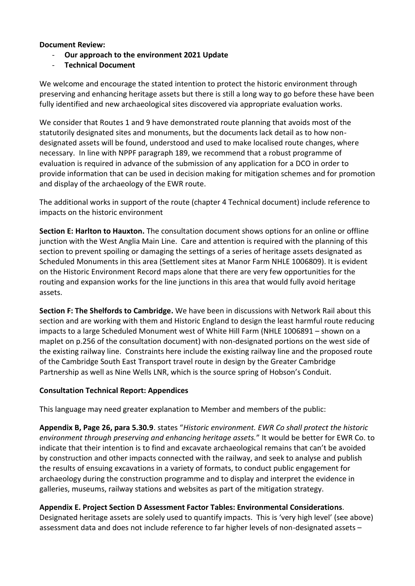#### **Document Review:**

- **Our approach to the environment 2021 Update**
- **Technical Document**

We welcome and encourage the stated intention to protect the historic environment through preserving and enhancing heritage assets but there is still a long way to go before these have been fully identified and new archaeological sites discovered via appropriate evaluation works.

We consider that Routes 1 and 9 have demonstrated route planning that avoids most of the statutorily designated sites and monuments, but the documents lack detail as to how nondesignated assets will be found, understood and used to make localised route changes, where necessary. In line with NPPF paragraph 189, we recommend that a robust programme of evaluation is required in advance of the submission of any application for a DCO in order to provide information that can be used in decision making for mitigation schemes and for promotion and display of the archaeology of the EWR route.

The additional works in support of the route (chapter 4 Technical document) include reference to impacts on the historic environment

**Section E: Harlton to Hauxton.** The consultation document shows options for an online or offline junction with the West Anglia Main Line. Care and attention is required with the planning of this section to prevent spoiling or damaging the settings of a series of heritage assets designated as Scheduled Monuments in this area (Settlement sites at Manor Farm NHLE 1006809). It is evident on the Historic Environment Record maps alone that there are very few opportunities for the routing and expansion works for the line junctions in this area that would fully avoid heritage assets.

**Section F: The Shelfords to Cambridge.** We have been in discussions with Network Rail about this section and are working with them and Historic England to design the least harmful route reducing impacts to a large Scheduled Monument west of White Hill Farm (NHLE 1006891 – shown on a maplet on p.256 of the consultation document) with non-designated portions on the west side of the existing railway line. Constraints here include the existing railway line and the proposed route of the Cambridge South East Transport travel route in design by the Greater Cambridge Partnership as well as Nine Wells LNR, which is the source spring of Hobson's Conduit.

## **Consultation Technical Report: Appendices**

This language may need greater explanation to Member and members of the public:

**Appendix B, Page 26, para 5.30.9**. states "*Historic environment. EWR Co shall protect the historic environment through preserving and enhancing heritage assets.*" It would be better for EWR Co. to indicate that their intention is to find and excavate archaeological remains that can't be avoided by construction and other impacts connected with the railway, and seek to analyse and publish the results of ensuing excavations in a variety of formats, to conduct public engagement for archaeology during the construction programme and to display and interpret the evidence in galleries, museums, railway stations and websites as part of the mitigation strategy.

## **Appendix E. Project Section D Assessment Factor Tables: Environmental Considerations**.

Designated heritage assets are solely used to quantify impacts. This is 'very high level' (see above) assessment data and does not include reference to far higher levels of non-designated assets –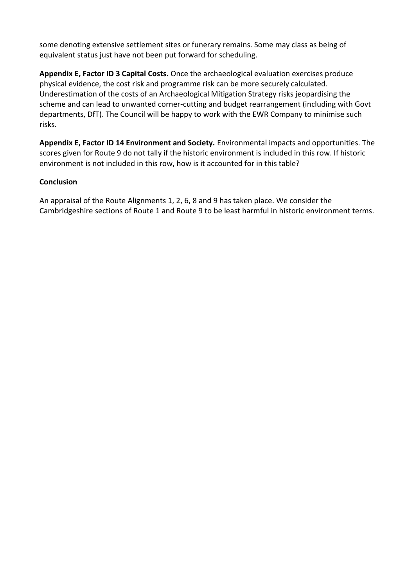some denoting extensive settlement sites or funerary remains. Some may class as being of equivalent status just have not been put forward for scheduling.

**Appendix E, Factor ID 3 Capital Costs.** Once the archaeological evaluation exercises produce physical evidence, the cost risk and programme risk can be more securely calculated. Underestimation of the costs of an Archaeological Mitigation Strategy risks jeopardising the scheme and can lead to unwanted corner-cutting and budget rearrangement (including with Govt departments, DfT). The Council will be happy to work with the EWR Company to minimise such risks.

**Appendix E, Factor ID 14 Environment and Society.** Environmental impacts and opportunities. The scores given for Route 9 do not tally if the historic environment is included in this row. If historic environment is not included in this row, how is it accounted for in this table?

## **Conclusion**

An appraisal of the Route Alignments 1, 2, 6, 8 and 9 has taken place. We consider the Cambridgeshire sections of Route 1 and Route 9 to be least harmful in historic environment terms.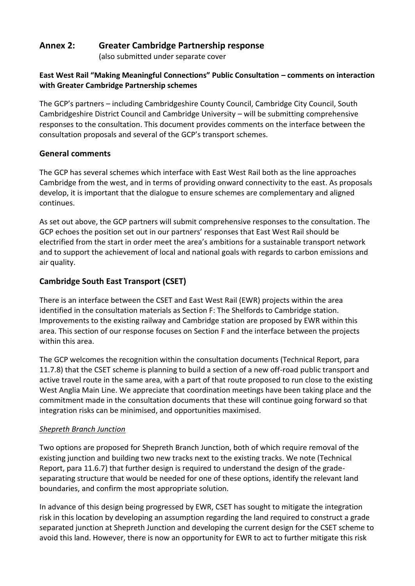## **Annex 2: Greater Cambridge Partnership response**

(also submitted under separate cover

## **East West Rail "Making Meaningful Connections" Public Consultation – comments on interaction with Greater Cambridge Partnership schemes**

The GCP's partners – including Cambridgeshire County Council, Cambridge City Council, South Cambridgeshire District Council and Cambridge University – will be submitting comprehensive responses to the consultation. This document provides comments on the interface between the consultation proposals and several of the GCP's transport schemes.

## **General comments**

The GCP has several schemes which interface with East West Rail both as the line approaches Cambridge from the west, and in terms of providing onward connectivity to the east. As proposals develop, it is important that the dialogue to ensure schemes are complementary and aligned continues.

As set out above, the GCP partners will submit comprehensive responses to the consultation. The GCP echoes the position set out in our partners' responses that East West Rail should be electrified from the start in order meet the area's ambitions for a sustainable transport network and to support the achievement of local and national goals with regards to carbon emissions and air quality.

## **Cambridge South East Transport (CSET)**

There is an interface between the CSET and East West Rail (EWR) projects within the area identified in the consultation materials as Section F: The Shelfords to Cambridge station. Improvements to the existing railway and Cambridge station are proposed by EWR within this area. This section of our response focuses on Section F and the interface between the projects within this area.

The GCP welcomes the recognition within the consultation documents (Technical Report, para 11.7.8) that the CSET scheme is planning to build a section of a new off-road public transport and active travel route in the same area, with a part of that route proposed to run close to the existing West Anglia Main Line. We appreciate that coordination meetings have been taking place and the commitment made in the consultation documents that these will continue going forward so that integration risks can be minimised, and opportunities maximised.

## *Shepreth Branch Junction*

Two options are proposed for Shepreth Branch Junction, both of which require removal of the existing junction and building two new tracks next to the existing tracks. We note (Technical Report, para 11.6.7) that further design is required to understand the design of the gradeseparating structure that would be needed for one of these options, identify the relevant land boundaries, and confirm the most appropriate solution.

In advance of this design being progressed by EWR, CSET has sought to mitigate the integration risk in this location by developing an assumption regarding the land required to construct a grade separated junction at Shepreth Junction and developing the current design for the CSET scheme to avoid this land. However, there is now an opportunity for EWR to act to further mitigate this risk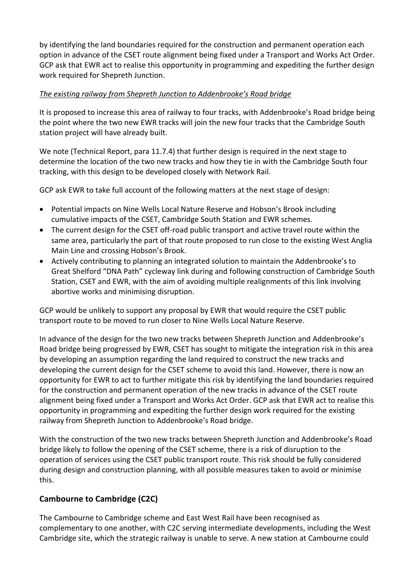by identifying the land boundaries required for the construction and permanent operation each option in advance of the CSET route alignment being fixed under a Transport and Works Act Order. GCP ask that EWR act to realise this opportunity in programming and expediting the further design work required for Shepreth Junction.

## *The existing railway from Shepreth Junction to Addenbrooke's Road bridge*

It is proposed to increase this area of railway to four tracks, with Addenbrooke's Road bridge being the point where the two new EWR tracks will join the new four tracks that the Cambridge South station project will have already built.

We note (Technical Report, para 11.7.4) that further design is required in the next stage to determine the location of the two new tracks and how they tie in with the Cambridge South four tracking, with this design to be developed closely with Network Rail.

GCP ask EWR to take full account of the following matters at the next stage of design:

- Potential impacts on Nine Wells Local Nature Reserve and Hobson's Brook including cumulative impacts of the CSET, Cambridge South Station and EWR schemes.
- The current design for the CSET off-road public transport and active travel route within the same area, particularly the part of that route proposed to run close to the existing West Anglia Main Line and crossing Hobson's Brook.
- Actively contributing to planning an integrated solution to maintain the Addenbrooke's to Great Shelford "DNA Path" cycleway link during and following construction of Cambridge South Station, CSET and EWR, with the aim of avoiding multiple realignments of this link involving abortive works and minimising disruption.

GCP would be unlikely to support any proposal by EWR that would require the CSET public transport route to be moved to run closer to Nine Wells Local Nature Reserve.

In advance of the design for the two new tracks between Shepreth Junction and Addenbrooke's Road bridge being progressed by EWR, CSET has sought to mitigate the integration risk in this area by developing an assumption regarding the land required to construct the new tracks and developing the current design for the CSET scheme to avoid this land. However, there is now an opportunity for EWR to act to further mitigate this risk by identifying the land boundaries required for the construction and permanent operation of the new tracks in advance of the CSET route alignment being fixed under a Transport and Works Act Order. GCP ask that EWR act to realise this opportunity in programming and expediting the further design work required for the existing railway from Shepreth Junction to Addenbrooke's Road bridge.

With the construction of the two new tracks between Shepreth Junction and Addenbrooke's Road bridge likely to follow the opening of the CSET scheme, there is a risk of disruption to the operation of services using the CSET public transport route. This risk should be fully considered during design and construction planning, with all possible measures taken to avoid or minimise this.

## **Cambourne to Cambridge (C2C)**

The Cambourne to Cambridge scheme and East West Rail have been recognised as complementary to one another, with C2C serving intermediate developments, including the West Cambridge site, which the strategic railway is unable to serve. A new station at Cambourne could